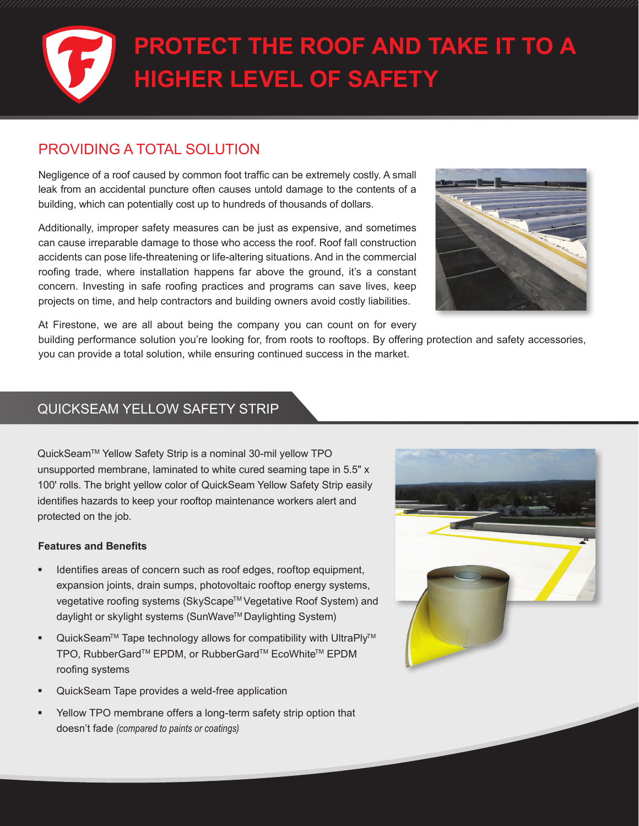# **PROTECT THE ROOF AND TAKE IT TO A HIGHER LEVEL OF SAFETY**

### PROVIDING A TOTAL SOLUTION

Negligence of a roof caused by common foot traffic can be extremely costly. A small leak from an accidental puncture often causes untold damage to the contents of a building, which can potentially cost up to hundreds of thousands of dollars.

Additionally, improper safety measures can be just as expensive, and sometimes can cause irreparable damage to those who access the roof. Roof fall construction accidents can pose life-threatening or life-altering situations. And in the commercial roofing trade, where installation happens far above the ground, it's a constant concern. Investing in safe roofing practices and programs can save lives, keep projects on time, and help contractors and building owners avoid costly liabilities.



At Firestone, we are all about being the company you can count on for every

building performance solution you're looking for, from roots to rooftops. By offering protection and safety accessories, you can provide a total solution, while ensuring continued success in the market.

#### QUICKSEAM YELLOW SAFETY STRIP

QuickSeam™ Yellow Safety Strip is a nominal 30-mil yellow TPO unsupported membrane, laminated to white cured seaming tape in 5.5" x 100' rolls. The bright yellow color of QuickSeam Yellow Safety Strip easily identifies hazards to keep your rooftop maintenance workers alert and protected on the job.

#### **Features and Benefits**

- **IDENTIFIEM** 1 Identifies areas of concern such as roof edges, rooftop equipment, expansion joints, drain sumps, photovoltaic rooftop energy systems, vegetative roofing systems (SkyScape™ Vegetative Roof System) and daylight or skylight systems (SunWave™ Daylighting System)
- QuickSeam™ Tape technology allows for compatibility with UltraPly™ TPO, RubberGard™ EPDM, or RubberGard™ EcoWhite™ EPDM roofing systems
- QuickSeam Tape provides a weld-free application
- Yellow TPO membrane offers a long-term safety strip option that doesn't fade *(compared to paints or coatings)*